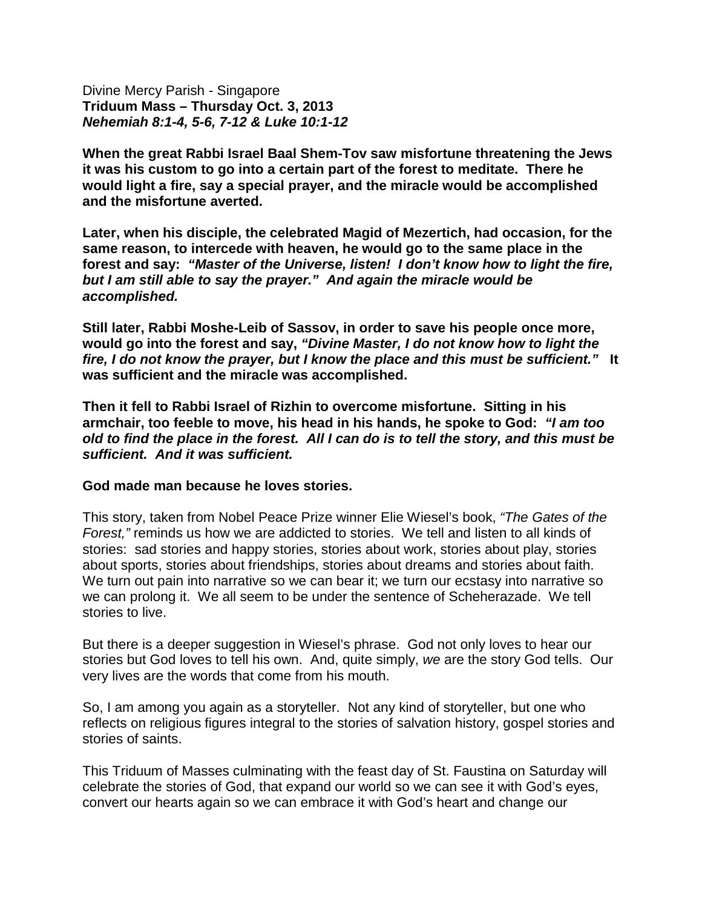Divine Mercy Parish - Singapore **Triduum Mass – Thursday Oct. 3, 2013** *Nehemiah 8:1-4, 5-6, 7-12 & Luke 10:1-12*

**When the great Rabbi Israel Baal Shem-Tov saw misfortune threatening the Jews it was his custom to go into a certain part of the forest to meditate. There he would light a fire, say a special prayer, and the miracle would be accomplished and the misfortune averted.**

**Later, when his disciple, the celebrated Magid of Mezertich, had occasion, for the same reason, to intercede with heaven, he would go to the same place in the forest and say:** *"Master of the Universe, listen! I don't know how to light the fire, but I am still able to say the prayer." And again the miracle would be accomplished.*

**Still later, Rabbi Moshe-Leib of Sassov, in order to save his people once more, would go into the forest and say,** *"Divine Master, I do not know how to light the fire, I do not know the prayer, but I know the place and this must be sufficient."* **It was sufficient and the miracle was accomplished.**

**Then it fell to Rabbi Israel of Rizhin to overcome misfortune. Sitting in his armchair, too feeble to move, his head in his hands, he spoke to God:** *"I am too old to find the place in the forest. All I can do is to tell the story, and this must be sufficient. And it was sufficient.*

## **God made man because he loves stories.**

This story, taken from Nobel Peace Prize winner Elie Wiesel's book, *"The Gates of the Forest,"* reminds us how we are addicted to stories. We tell and listen to all kinds of stories: sad stories and happy stories, stories about work, stories about play, stories about sports, stories about friendships, stories about dreams and stories about faith. We turn out pain into narrative so we can bear it; we turn our ecstasy into narrative so we can prolong it. We all seem to be under the sentence of Scheherazade. We tell stories to live.

But there is a deeper suggestion in Wiesel's phrase. God not only loves to hear our stories but God loves to tell his own. And, quite simply, *we* are the story God tells. Our very lives are the words that come from his mouth.

So, I am among you again as a storyteller. Not any kind of storyteller, but one who reflects on religious figures integral to the stories of salvation history, gospel stories and stories of saints.

This Triduum of Masses culminating with the feast day of St. Faustina on Saturday will celebrate the stories of God, that expand our world so we can see it with God's eyes, convert our hearts again so we can embrace it with God's heart and change our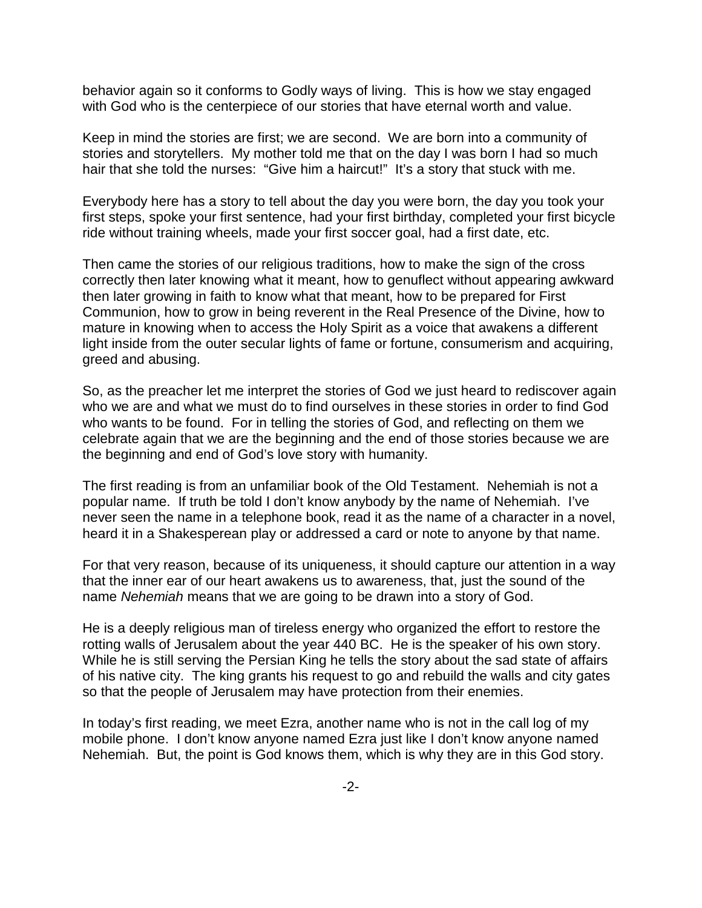behavior again so it conforms to Godly ways of living. This is how we stay engaged with God who is the centerpiece of our stories that have eternal worth and value.

Keep in mind the stories are first; we are second. We are born into a community of stories and storytellers. My mother told me that on the day I was born I had so much hair that she told the nurses: "Give him a haircut!" It's a story that stuck with me.

Everybody here has a story to tell about the day you were born, the day you took your first steps, spoke your first sentence, had your first birthday, completed your first bicycle ride without training wheels, made your first soccer goal, had a first date, etc.

Then came the stories of our religious traditions, how to make the sign of the cross correctly then later knowing what it meant, how to genuflect without appearing awkward then later growing in faith to know what that meant, how to be prepared for First Communion, how to grow in being reverent in the Real Presence of the Divine, how to mature in knowing when to access the Holy Spirit as a voice that awakens a different light inside from the outer secular lights of fame or fortune, consumerism and acquiring, greed and abusing.

So, as the preacher let me interpret the stories of God we just heard to rediscover again who we are and what we must do to find ourselves in these stories in order to find God who wants to be found. For in telling the stories of God, and reflecting on them we celebrate again that we are the beginning and the end of those stories because we are the beginning and end of God's love story with humanity.

The first reading is from an unfamiliar book of the Old Testament. Nehemiah is not a popular name. If truth be told I don't know anybody by the name of Nehemiah. I've never seen the name in a telephone book, read it as the name of a character in a novel, heard it in a Shakesperean play or addressed a card or note to anyone by that name.

For that very reason, because of its uniqueness, it should capture our attention in a way that the inner ear of our heart awakens us to awareness, that, just the sound of the name *Nehemiah* means that we are going to be drawn into a story of God.

He is a deeply religious man of tireless energy who organized the effort to restore the rotting walls of Jerusalem about the year 440 BC. He is the speaker of his own story. While he is still serving the Persian King he tells the story about the sad state of affairs of his native city. The king grants his request to go and rebuild the walls and city gates so that the people of Jerusalem may have protection from their enemies.

In today's first reading, we meet Ezra, another name who is not in the call log of my mobile phone. I don't know anyone named Ezra just like I don't know anyone named Nehemiah. But, the point is God knows them, which is why they are in this God story.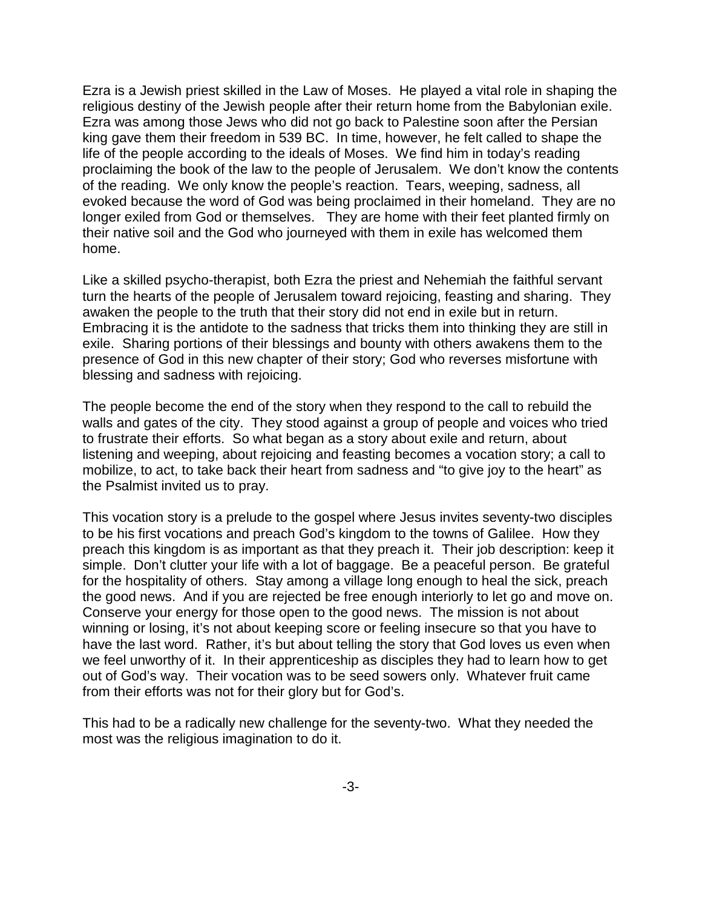Ezra is a Jewish priest skilled in the Law of Moses. He played a vital role in shaping the religious destiny of the Jewish people after their return home from the Babylonian exile. Ezra was among those Jews who did not go back to Palestine soon after the Persian king gave them their freedom in 539 BC. In time, however, he felt called to shape the life of the people according to the ideals of Moses. We find him in today's reading proclaiming the book of the law to the people of Jerusalem. We don't know the contents of the reading. We only know the people's reaction. Tears, weeping, sadness, all evoked because the word of God was being proclaimed in their homeland. They are no longer exiled from God or themselves. They are home with their feet planted firmly on their native soil and the God who journeyed with them in exile has welcomed them home.

Like a skilled psycho-therapist, both Ezra the priest and Nehemiah the faithful servant turn the hearts of the people of Jerusalem toward rejoicing, feasting and sharing. They awaken the people to the truth that their story did not end in exile but in return. Embracing it is the antidote to the sadness that tricks them into thinking they are still in exile. Sharing portions of their blessings and bounty with others awakens them to the presence of God in this new chapter of their story; God who reverses misfortune with blessing and sadness with rejoicing.

The people become the end of the story when they respond to the call to rebuild the walls and gates of the city. They stood against a group of people and voices who tried to frustrate their efforts. So what began as a story about exile and return, about listening and weeping, about rejoicing and feasting becomes a vocation story; a call to mobilize, to act, to take back their heart from sadness and "to give joy to the heart" as the Psalmist invited us to pray.

This vocation story is a prelude to the gospel where Jesus invites seventy-two disciples to be his first vocations and preach God's kingdom to the towns of Galilee. How they preach this kingdom is as important as that they preach it. Their job description: keep it simple. Don't clutter your life with a lot of baggage. Be a peaceful person. Be grateful for the hospitality of others. Stay among a village long enough to heal the sick, preach the good news. And if you are rejected be free enough interiorly to let go and move on. Conserve your energy for those open to the good news. The mission is not about winning or losing, it's not about keeping score or feeling insecure so that you have to have the last word. Rather, it's but about telling the story that God loves us even when we feel unworthy of it. In their apprenticeship as disciples they had to learn how to get out of God's way. Their vocation was to be seed sowers only. Whatever fruit came from their efforts was not for their glory but for God's.

This had to be a radically new challenge for the seventy-two. What they needed the most was the religious imagination to do it.